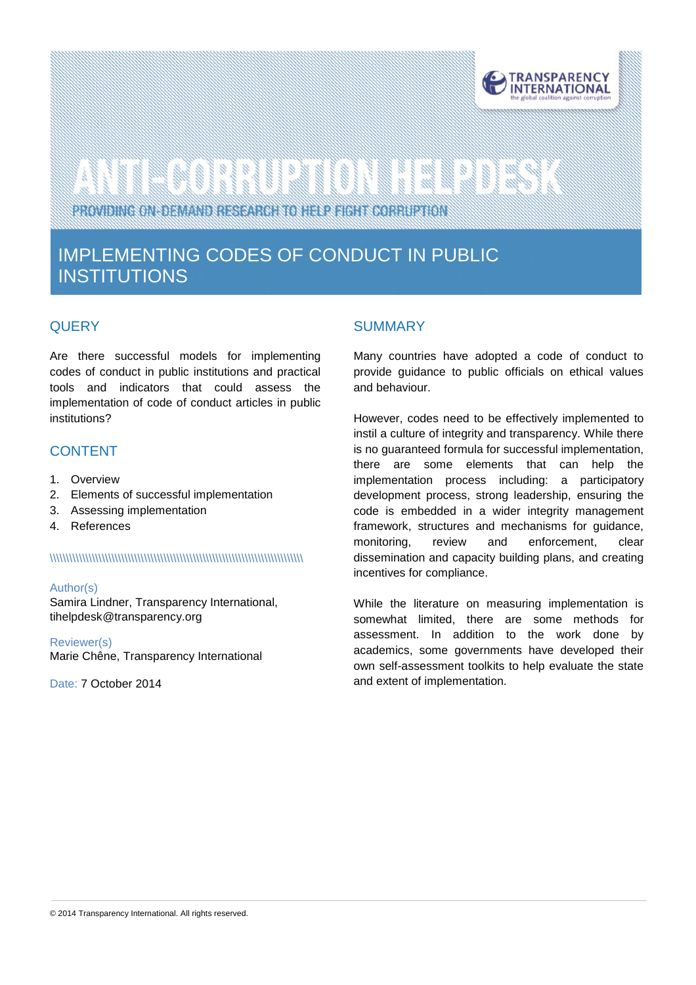

# 

PROVIDING ON-DEMAND RESEARCH TO HELP FIGHT CORRUPTION

### IMPLEMENTING CODES OF CONDUCT IN PUBLIC INSTITUTIONS

#### **QUERY**

Are there successful models for implementing codes of conduct in public institutions and practical tools and indicators that could assess the implementation of code of conduct articles in public institutions?

#### CONTENT

- 1. Overview
- 2. Elements of successful implementation
- 3. Assessing implementation
- 4. References

#### \\\\\\\\\\\\\\\\\\\\\\\\\\\\\\\\\\\\\\\\\\\\\\\\\\\\\\\\\\\\\\\\\\\\\\\\\\\\\\

#### Author(s)

Samira Lindner, Transparency International, tihelpdes[k@transparency.org](mailto:mchene@transparency.org%20?subject=U4%20Expert%20Answer)

Reviewer(s) Marie Chêne, Transparency International

Date: 7 October 2014

#### SUMMARY

Many countries have adopted a code of conduct to provide guidance to public officials on ethical values and behaviour.

However, codes need to be effectively implemented to instil a culture of integrity and transparency. While there is no guaranteed formula for successful implementation, there are some elements that can help the implementation process including: a participatory development process, strong leadership, ensuring the code is embedded in a wider integrity management framework, structures and mechanisms for guidance, monitoring, review and enforcement, clear dissemination and capacity building plans, and creating incentives for compliance.

While the literature on measuring implementation is somewhat limited, there are some methods for assessment. In addition to the work done by academics, some governments have developed their own self-assessment toolkits to help evaluate the state and extent of implementation.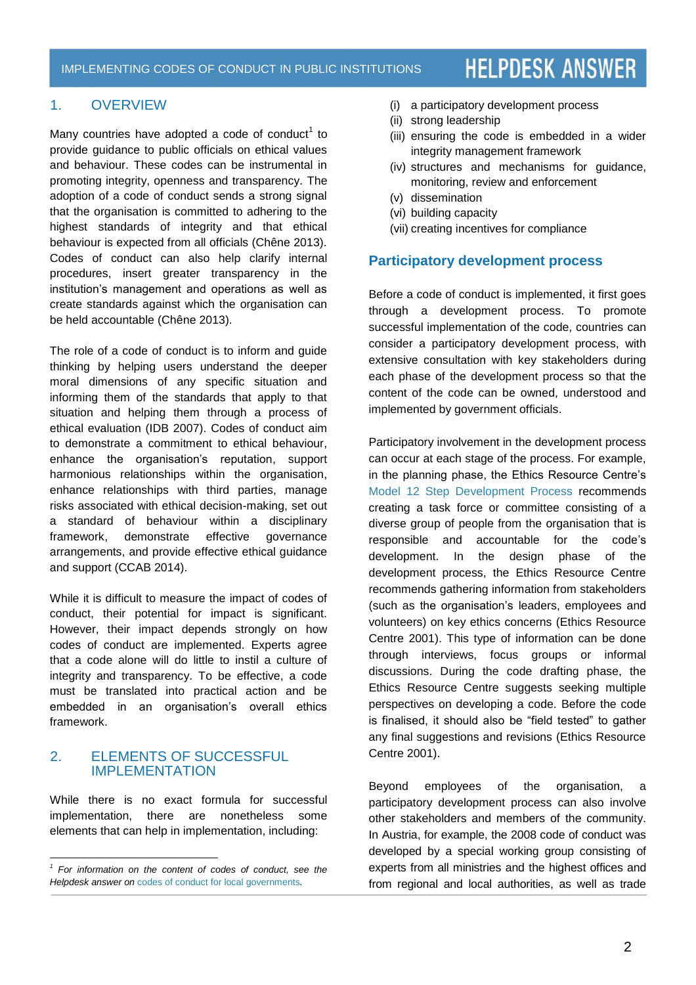#### 1. OVERVIEW

Many countries have adopted a code of conduct $1$  to provide guidance to public officials on ethical values and behaviour. These codes can be instrumental in promoting integrity, openness and transparency. The adoption of a code of conduct sends a strong signal that the organisation is committed to adhering to the highest standards of integrity and that ethical behaviour is expected from all officials (Chêne 2013). Codes of conduct can also help clarify internal procedures, insert greater transparency in the institution's management and operations as well as create standards against which the organisation can be held accountable (Chêne 2013).

The role of a code of conduct is to inform and guide thinking by helping users understand the deeper moral dimensions of any specific situation and informing them of the standards that apply to that situation and helping them through a process of ethical evaluation (IDB 2007). Codes of conduct aim to demonstrate a commitment to ethical behaviour, enhance the organisation's reputation, support harmonious relationships within the organisation, enhance relationships with third parties, manage risks associated with ethical decision-making, set out a standard of behaviour within a disciplinary framework, demonstrate effective governance arrangements, and provide effective ethical guidance and support (CCAB 2014).

While it is difficult to measure the impact of codes of conduct, their potential for impact is significant. However, their impact depends strongly on how codes of conduct are implemented. Experts agree that a code alone will do little to instil a culture of integrity and transparency. To be effective, a code must be translated into practical action and be embedded in an organisation's overall ethics framework.

#### 2. ELEMENTS OF SUCCESSFUL IMPLEMENTATION

l

While there is no exact formula for successful implementation, there are nonetheless some elements that can help in implementation, including:

- (i) a participatory development process
- (ii) strong leadership
- (iii) ensuring the code is embedded in a wider integrity management framework
- (iv) structures and mechanisms for guidance, monitoring, review and enforcement
- (v) dissemination
- (vi) building capacity
- (vii) creating incentives for compliance

#### **Participatory development process**

Before a code of conduct is implemented, it first goes through a development process. To promote successful implementation of the code, countries can consider a participatory development process, with extensive consultation with key stakeholders during each phase of the development process so that the content of the code can be owned, understood and implemented by government officials.

Participatory involvement in the development process can occur at each stage of the process. For example, in the planning phase, the Ethics Resource Centre's [Model 12 Step Development Process](http://www.shrm.org/about/documents/organization-coe.pdf) recommends creating a task force or committee consisting of a diverse group of people from the organisation that is responsible and accountable for the code's development. In the design phase of the development process, the Ethics Resource Centre recommends gathering information from stakeholders (such as the organisation's leaders, employees and volunteers) on key ethics concerns (Ethics Resource Centre 2001). This type of information can be done through interviews, focus groups or informal discussions. During the code drafting phase, the Ethics Resource Centre suggests seeking multiple perspectives on developing a code. Before the code is finalised, it should also be "field tested" to gather any final suggestions and revisions (Ethics Resource Centre 2001).

Beyond employees of the organisation, a participatory development process can also involve other stakeholders and members of the community. In Austria, for example, the 2008 code of conduct was developed by a special working group consisting of experts from all ministries and the highest offices and from regional and local authorities, as well as trade

<sup>&</sup>lt;sup>1</sup> For information on the content of codes of conduct, see the *Helpdesk answer on* [codes of conduct for local governments](http://www.transparency.org/whatwedo/answer/codes_of_conduct_for_local_governments)*.*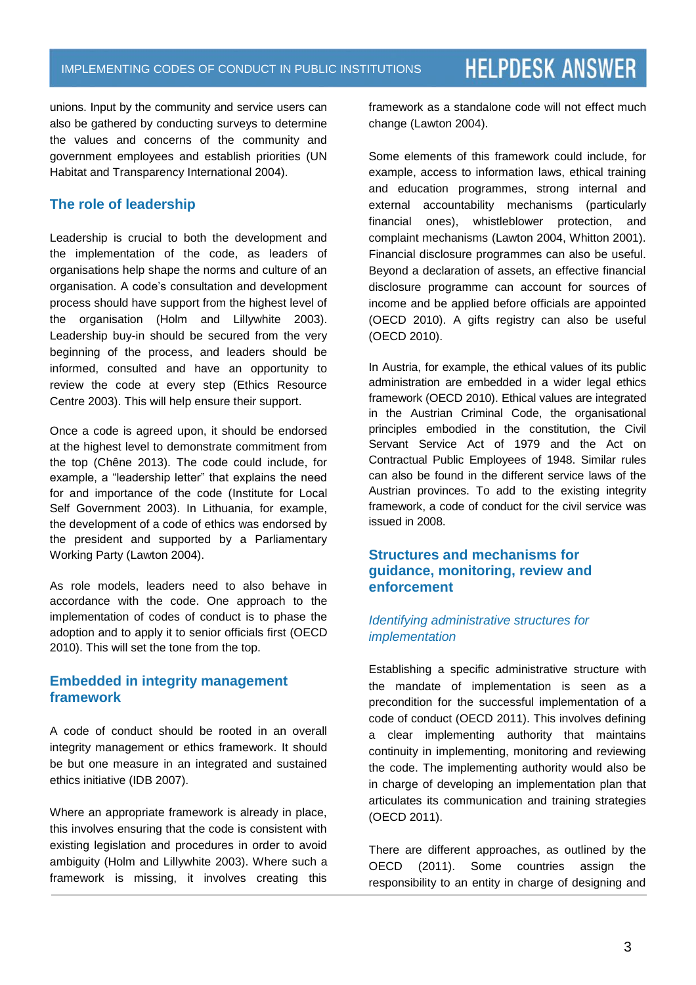unions. Input by the community and service users can also be gathered by conducting surveys to determine the values and concerns of the community and government employees and establish priorities (UN Habitat and Transparency International 2004).

#### **The role of leadership**

Leadership is crucial to both the development and the implementation of the code, as leaders of organisations help shape the norms and culture of an organisation. A code's consultation and development process should have support from the highest level of the organisation (Holm and Lillywhite 2003). Leadership buy-in should be secured from the very beginning of the process, and leaders should be informed, consulted and have an opportunity to review the code at every step (Ethics Resource Centre 2003). This will help ensure their support.

Once a code is agreed upon, it should be endorsed at the highest level to demonstrate commitment from the top (Chêne 2013). The code could include, for example, a "leadership letter" that explains the need for and importance of the code (Institute for Local Self Government 2003). In Lithuania, for example, the development of a code of ethics was endorsed by the president and supported by a Parliamentary Working Party (Lawton 2004).

As role models, leaders need to also behave in accordance with the code. One approach to the implementation of codes of conduct is to phase the adoption and to apply it to senior officials first (OECD 2010). This will set the tone from the top.

#### **Embedded in integrity management framework**

A code of conduct should be rooted in an overall integrity management or ethics framework. It should be but one measure in an integrated and sustained ethics initiative (IDB 2007).

Where an appropriate framework is already in place, this involves ensuring that the code is consistent with existing legislation and procedures in order to avoid ambiguity (Holm and Lillywhite 2003). Where such a framework is missing, it involves creating this framework as a standalone code will not effect much change (Lawton 2004).

Some elements of this framework could include, for example, access to information laws, ethical training and education programmes, strong internal and external accountability mechanisms (particularly financial ones), whistleblower protection, and complaint mechanisms (Lawton 2004, Whitton 2001). Financial disclosure programmes can also be useful. Beyond a declaration of assets, an effective financial disclosure programme can account for sources of income and be applied before officials are appointed (OECD 2010). A gifts registry can also be useful (OECD 2010).

In Austria, for example, the ethical values of its public administration are embedded in a wider legal ethics framework (OECD 2010). Ethical values are integrated in the Austrian Criminal Code, the organisational principles embodied in the constitution, the Civil Servant Service Act of 1979 and the Act on Contractual Public Employees of 1948. Similar rules can also be found in the different service laws of the Austrian provinces. To add to the existing integrity framework, a code of conduct for the civil service was issued in 2008.

#### **Structures and mechanisms for guidance, monitoring, review and enforcement**

#### *Identifying administrative structures for implementation*

Establishing a specific administrative structure with the mandate of implementation is seen as a precondition for the successful implementation of a code of conduct (OECD 2011). This involves defining a clear implementing authority that maintains continuity in implementing, monitoring and reviewing the code. The implementing authority would also be in charge of developing an implementation plan that articulates its communication and training strategies (OECD 2011).

There are different approaches, as outlined by the OECD (2011). Some countries assign the responsibility to an entity in charge of designing and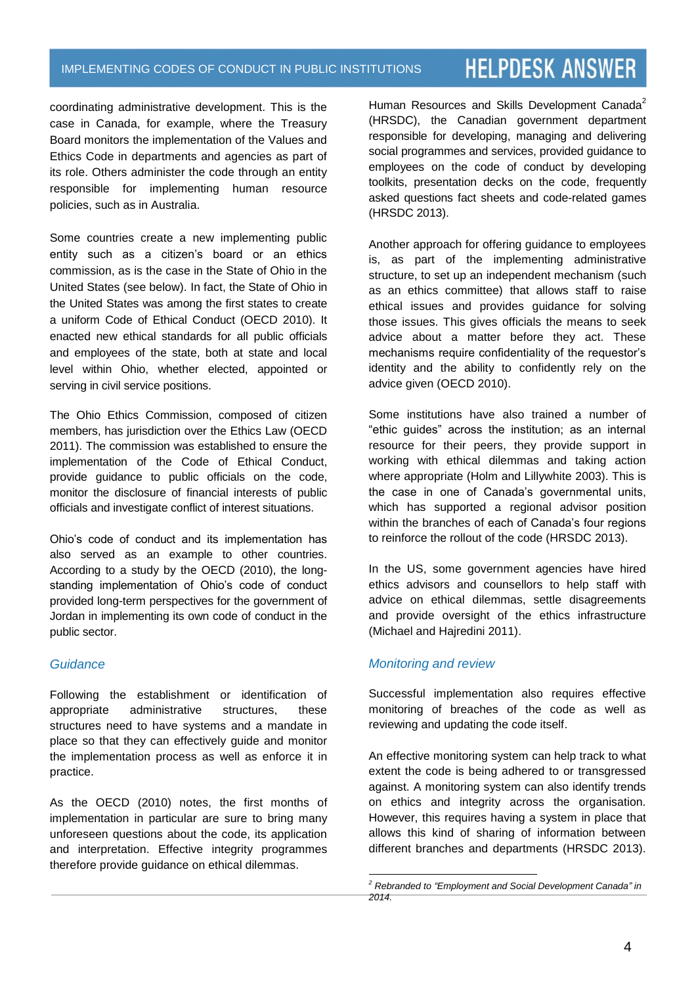coordinating administrative development. This is the case in Canada, for example, where the Treasury Board monitors the implementation of the Values and Ethics Code in departments and agencies as part of its role. Others administer the code through an entity responsible for implementing human resource policies, such as in Australia.

Some countries create a new implementing public entity such as a citizen's board or an ethics commission, as is the case in the State of Ohio in the United States (see below). In fact, the State of Ohio in the United States was among the first states to create a uniform Code of Ethical Conduct (OECD 2010). It enacted new ethical standards for all public officials and employees of the state, both at state and local level within Ohio, whether elected, appointed or serving in civil service positions.

The Ohio Ethics Commission, composed of citizen members, has jurisdiction over the Ethics Law (OECD 2011). The commission was established to ensure the implementation of the Code of Ethical Conduct, provide guidance to public officials on the code, monitor the disclosure of financial interests of public officials and investigate conflict of interest situations.

Ohio's code of conduct and its implementation has also served as an example to other countries. According to a study by the OECD (2010), the longstanding implementation of Ohio's code of conduct provided long-term perspectives for the government of Jordan in implementing its own code of conduct in the public sector.

#### *Guidance*

Following the establishment or identification of appropriate administrative structures, these structures need to have systems and a mandate in place so that they can effectively guide and monitor the implementation process as well as enforce it in practice.

As the OECD (2010) notes, the first months of implementation in particular are sure to bring many unforeseen questions about the code, its application and interpretation. Effective integrity programmes therefore provide guidance on ethical dilemmas.

Human Resources and Skills Development Canada<sup>2</sup> (HRSDC), the Canadian government department responsible for developing, managing and delivering social programmes and services, provided guidance to employees on the code of conduct by developing toolkits, presentation decks on the code, frequently asked questions fact sheets and code-related games (HRSDC 2013).

Another approach for offering guidance to employees is, as part of the implementing administrative structure, to set up an independent mechanism (such as an ethics committee) that allows staff to raise ethical issues and provides guidance for solving those issues. This gives officials the means to seek advice about a matter before they act. These mechanisms require confidentiality of the requestor's identity and the ability to confidently rely on the advice given (OECD 2010).

Some institutions have also trained a number of "ethic guides" across the institution; as an internal resource for their peers, they provide support in working with ethical dilemmas and taking action where appropriate (Holm and Lillywhite 2003). This is the case in one of Canada's governmental units, which has supported a regional advisor position within the branches of each of Canada's four regions to reinforce the rollout of the code (HRSDC 2013).

In the US, some government agencies have hired ethics advisors and counsellors to help staff with advice on ethical dilemmas, settle disagreements and provide oversight of the ethics infrastructure (Michael and Hajredini 2011).

#### *Monitoring and review*

Successful implementation also requires effective monitoring of breaches of the code as well as reviewing and updating the code itself.

An effective monitoring system can help track to what extent the code is being adhered to or transgressed against. A monitoring system can also identify trends on ethics and integrity across the organisation. However, this requires having a system in place that allows this kind of sharing of information between different branches and departments (HRSDC 2013).

 $\overline{a}$ *<sup>2</sup> Rebranded to "Employment and Social Development Canada" in 2014.*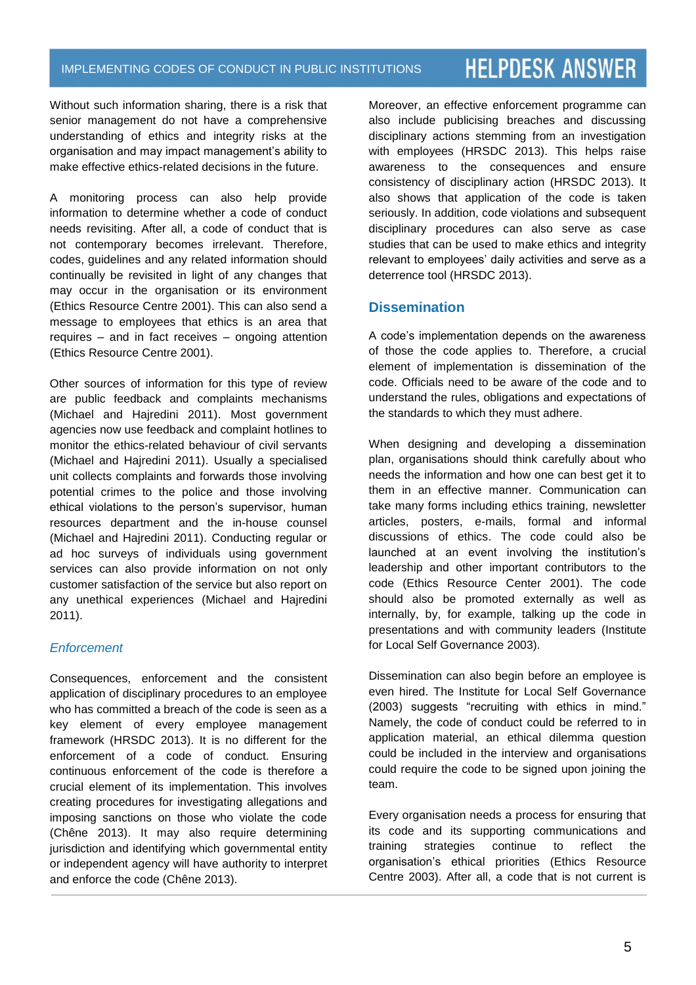Without such information sharing, there is a risk that senior management do not have a comprehensive understanding of ethics and integrity risks at the organisation and may impact management's ability to make effective ethics-related decisions in the future.

A monitoring process can also help provide information to determine whether a code of conduct needs revisiting. After all, a code of conduct that is not contemporary becomes irrelevant. Therefore, codes, guidelines and any related information should continually be revisited in light of any changes that may occur in the organisation or its environment (Ethics Resource Centre 2001). This can also send a message to employees that ethics is an area that requires – and in fact receives – ongoing attention (Ethics Resource Centre 2001).

Other sources of information for this type of review are public feedback and complaints mechanisms (Michael and Hajredini 2011). Most government agencies now use feedback and complaint hotlines to monitor the ethics-related behaviour of civil servants (Michael and Hajredini 2011). Usually a specialised unit collects complaints and forwards those involving potential crimes to the police and those involving ethical violations to the person's supervisor, human resources department and the in-house counsel (Michael and Hajredini 2011). Conducting regular or ad hoc surveys of individuals using government services can also provide information on not only customer satisfaction of the service but also report on any unethical experiences (Michael and Hajredini 2011).

#### *Enforcement*

Consequences, enforcement and the consistent application of disciplinary procedures to an employee who has committed a breach of the code is seen as a key element of every employee management framework (HRSDC 2013). It is no different for the enforcement of a code of conduct. Ensuring continuous enforcement of the code is therefore a crucial element of its implementation. This involves creating procedures for investigating allegations and imposing sanctions on those who violate the code (Chêne 2013). It may also require determining jurisdiction and identifying which governmental entity or independent agency will have authority to interpret and enforce the code (Chêne 2013).

Moreover, an effective enforcement programme can also include publicising breaches and discussing disciplinary actions stemming from an investigation with employees (HRSDC 2013). This helps raise awareness to the consequences and ensure consistency of disciplinary action (HRSDC 2013). It also shows that application of the code is taken seriously. In addition, code violations and subsequent disciplinary procedures can also serve as case studies that can be used to make ethics and integrity relevant to employees' daily activities and serve as a deterrence tool (HRSDC 2013).

#### **Dissemination**

A code's implementation depends on the awareness of those the code applies to. Therefore, a crucial element of implementation is dissemination of the code. Officials need to be aware of the code and to understand the rules, obligations and expectations of the standards to which they must adhere.

When designing and developing a dissemination plan, organisations should think carefully about who needs the information and how one can best get it to them in an effective manner. Communication can take many forms including ethics training, newsletter articles, posters, e-mails, formal and informal discussions of ethics. The code could also be launched at an event involving the institution's leadership and other important contributors to the code (Ethics Resource Center 2001). The code should also be promoted externally as well as internally, by, for example, talking up the code in presentations and with community leaders (Institute for Local Self Governance 2003).

Dissemination can also begin before an employee is even hired. The Institute for Local Self Governance (2003) suggests "recruiting with ethics in mind." Namely, the code of conduct could be referred to in application material, an ethical dilemma question could be included in the interview and organisations could require the code to be signed upon joining the team.

Every organisation needs a process for ensuring that its code and its supporting communications and training strategies continue to reflect the organisation's ethical priorities (Ethics Resource Centre 2003). After all, a code that is not current is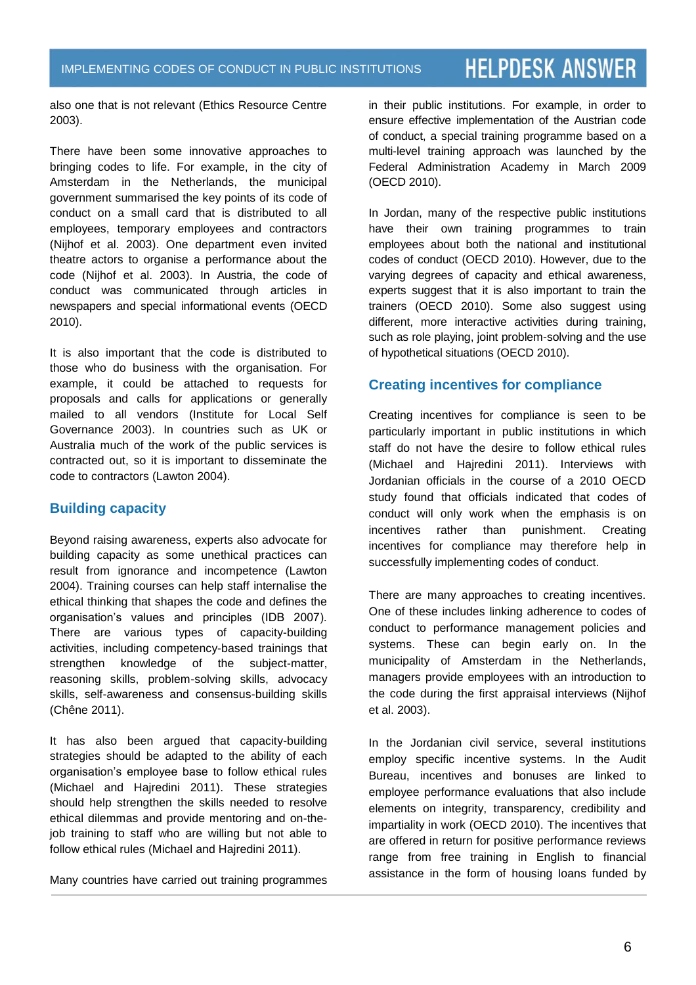also one that is not relevant (Ethics Resource Centre 2003).

There have been some innovative approaches to bringing codes to life. For example, in the city of Amsterdam in the Netherlands, the municipal government summarised the key points of its code of conduct on a small card that is distributed to all employees, temporary employees and contractors (Nijhof et al. 2003). One department even invited theatre actors to organise a performance about the code (Nijhof et al. 2003). In Austria, the code of conduct was communicated through articles in newspapers and special informational events (OECD 2010).

It is also important that the code is distributed to those who do business with the organisation. For example, it could be attached to requests for proposals and calls for applications or generally mailed to all vendors (Institute for Local Self Governance 2003). In countries such as UK or Australia much of the work of the public services is contracted out, so it is important to disseminate the code to contractors (Lawton 2004).

#### **Building capacity**

Beyond raising awareness, experts also advocate for building capacity as some unethical practices can result from ignorance and incompetence (Lawton 2004). Training courses can help staff internalise the ethical thinking that shapes the code and defines the organisation's values and principles (IDB 2007). There are various types of capacity-building activities, including competency-based trainings that strengthen knowledge of the subject-matter, reasoning skills, problem-solving skills, advocacy skills, self-awareness and consensus-building skills (Chêne 2011).

It has also been argued that capacity-building strategies should be adapted to the ability of each organisation's employee base to follow ethical rules (Michael and Hajredini 2011). These strategies should help strengthen the skills needed to resolve ethical dilemmas and provide mentoring and on-thejob training to staff who are willing but not able to follow ethical rules (Michael and Hajredini 2011).

Many countries have carried out training programmes

in their public institutions. For example, in order to ensure effective implementation of the Austrian code of conduct, a special training programme based on a multi-level training approach was launched by the Federal Administration Academy in March 2009 (OECD 2010).

In Jordan, many of the respective public institutions have their own training programmes to train employees about both the national and institutional codes of conduct (OECD 2010). However, due to the varying degrees of capacity and ethical awareness, experts suggest that it is also important to train the trainers (OECD 2010). Some also suggest using different, more interactive activities during training, such as role playing, joint problem-solving and the use of hypothetical situations (OECD 2010).

#### **Creating incentives for compliance**

Creating incentives for compliance is seen to be particularly important in public institutions in which staff do not have the desire to follow ethical rules (Michael and Hajredini 2011). Interviews with Jordanian officials in the course of a 2010 OECD study found that officials indicated that codes of conduct will only work when the emphasis is on incentives rather than punishment. Creating incentives for compliance may therefore help in successfully implementing codes of conduct.

There are many approaches to creating incentives. One of these includes linking adherence to codes of conduct to performance management policies and systems. These can begin early on. In the municipality of Amsterdam in the Netherlands, managers provide employees with an introduction to the code during the first appraisal interviews (Nijhof et al. 2003).

In the Jordanian civil service, several institutions employ specific incentive systems. In the Audit Bureau, incentives and bonuses are linked to employee performance evaluations that also include elements on integrity, transparency, credibility and impartiality in work (OECD 2010). The incentives that are offered in return for positive performance reviews range from free training in English to financial assistance in the form of housing loans funded by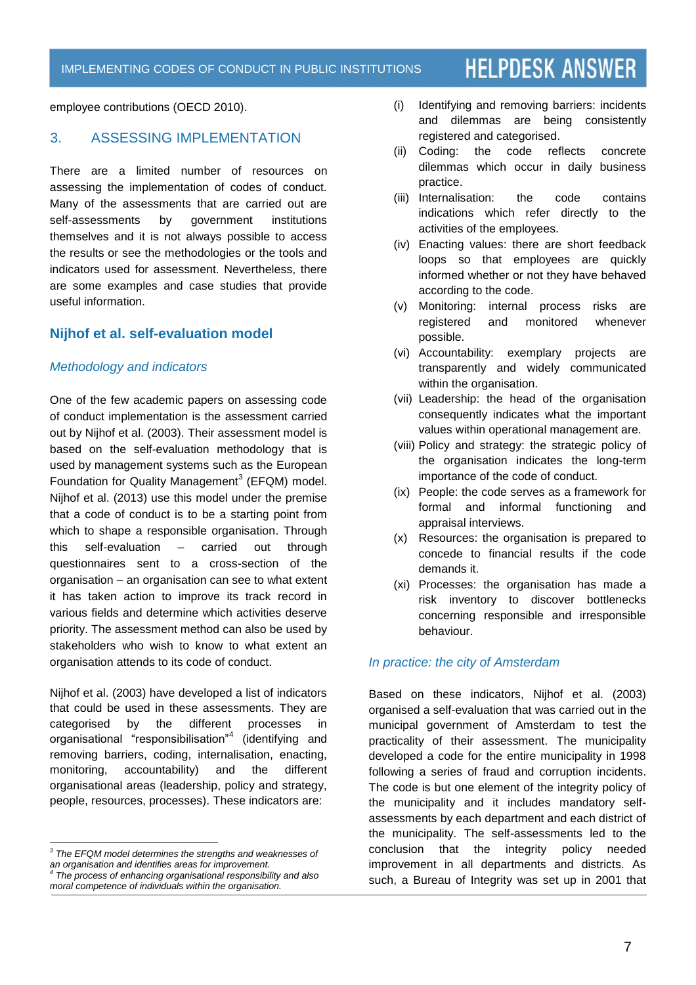employee contributions (OECD 2010).

#### 3. ASSESSING IMPLEMENTATION

There are a limited number of resources on assessing the implementation of codes of conduct. Many of the assessments that are carried out are self-assessments by government institutions themselves and it is not always possible to access the results or see the methodologies or the tools and indicators used for assessment. Nevertheless, there are some examples and case studies that provide useful information.

#### **Nijhof et al. self-evaluation model**

#### *Methodology and indicators*

One of the few academic papers on assessing code of conduct implementation is the assessment carried out by Nijhof et al. (2003). Their assessment model is based on the self-evaluation methodology that is used by management systems such as the European Foundation for Quality Management<sup>3</sup> (EFQM) model. Nijhof et al. (2013) use this model under the premise that a code of conduct is to be a starting point from which to shape a responsible organisation. Through this self-evaluation – carried out through questionnaires sent to a cross-section of the organisation – an organisation can see to what extent it has taken action to improve its track record in various fields and determine which activities deserve priority. The assessment method can also be used by stakeholders who wish to know to what extent an organisation attends to its code of conduct.

Nijhof et al. (2003) have developed a list of indicators that could be used in these assessments. They are categorised by the different processes in organisational "responsibilisation"<sup>4</sup> (identifying and removing barriers, coding, internalisation, enacting, monitoring, accountability) and the different organisational areas (leadership, policy and strategy, people, resources, processes). These indicators are:

- (i) Identifying and removing barriers: incidents and dilemmas are being consistently registered and categorised.
- (ii) Coding: the code reflects concrete dilemmas which occur in daily business practice.
- (iii) Internalisation: the code contains indications which refer directly to the activities of the employees.
- (iv) Enacting values: there are short feedback loops so that employees are quickly informed whether or not they have behaved according to the code.
- (v) Monitoring: internal process risks are registered and monitored whenever possible.
- (vi) Accountability: exemplary projects are transparently and widely communicated within the organisation.
- (vii) Leadership: the head of the organisation consequently indicates what the important values within operational management are.
- (viii) Policy and strategy: the strategic policy of the organisation indicates the long-term importance of the code of conduct.
- (ix) People: the code serves as a framework for formal and informal functioning and appraisal interviews.
- (x) Resources: the organisation is prepared to concede to financial results if the code demands it.
- (xi) Processes: the organisation has made a risk inventory to discover bottlenecks concerning responsible and irresponsible behaviour.

#### *In practice: the city of Amsterdam*

Based on these indicators, Nijhof et al. (2003) organised a self-evaluation that was carried out in the municipal government of Amsterdam to test the practicality of their assessment. The municipality developed a code for the entire municipality in 1998 following a series of fraud and corruption incidents. The code is but one element of the integrity policy of the municipality and it includes mandatory selfassessments by each department and each district of the municipality. The self-assessments led to the conclusion that the integrity policy needed improvement in all departments and districts. As such, a Bureau of Integrity was set up in 2001 that

 *3 The EFQM model determines the strengths and weaknesses of an organisation and identifies areas for improvement. 4 The process of enhancing organisational responsibility and also moral competence of individuals within the organisation.*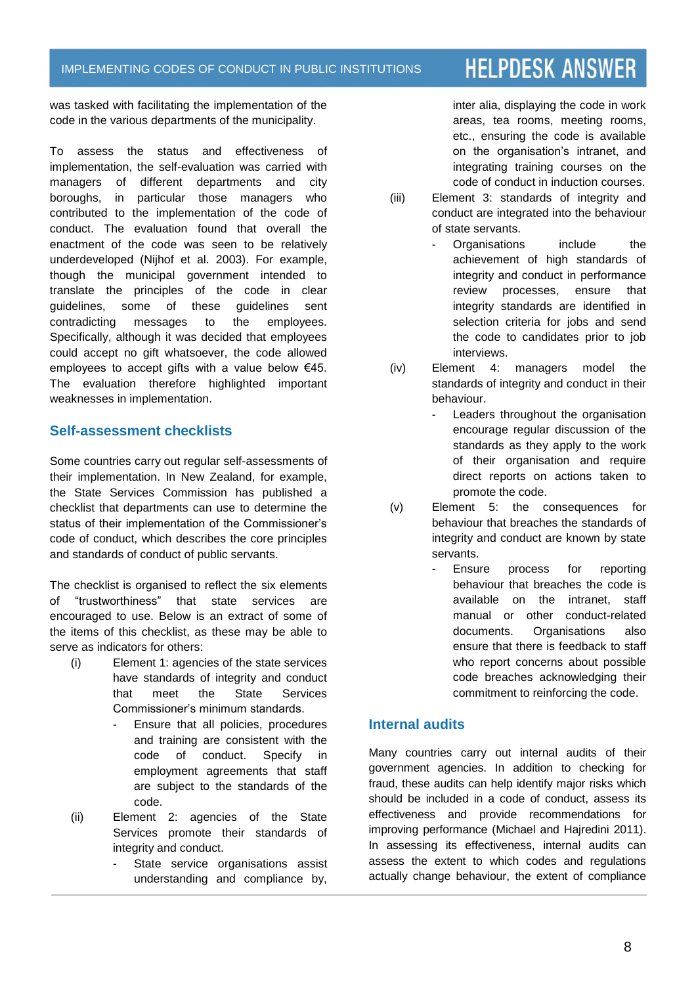was tasked with facilitating the implementation of the code in the various departments of the municipality.

To assess the status and effectiveness of implementation, the self-evaluation was carried with managers of different departments and city boroughs, in particular those managers who contributed to the implementation of the code of conduct. The evaluation found that overall the enactment of the code was seen to be relatively underdeveloped (Nijhof et al. 2003). For example, though the municipal government intended to translate the principles of the code in clear guidelines, some of these guidelines sent contradicting messages to the employees. Specifically, although it was decided that employees could accept no gift whatsoever, the code allowed employees to accept gifts with a value below  $€45$ . The evaluation therefore highlighted important weaknesses in implementation.

#### **Self-assessment checklists**

Some countries carry out regular self-assessments of their implementation. In New Zealand, for example, the State Services Commission has published a checklist that departments can use to determine the status of their implementation of the Commissioner's code of conduct, which describes the core principles and standards of conduct of public servants.

The checklist is organised to reflect the six elements of "trustworthiness" that state services are encouraged to use. Below is an extract of some of the items of this checklist, as these may be able to serve as indicators for others:

- (i) Element 1: agencies of the state services have standards of integrity and conduct that meet the State Services Commissioner's minimum standards.
	- Ensure that all policies, procedures and training are consistent with the code of conduct. Specify in employment agreements that staff are subject to the standards of the code.
- (ii) Element 2: agencies of the State Services promote their standards of integrity and conduct.
	- State service organisations assist understanding and compliance by,

inter alia, displaying the code in work areas, tea rooms, meeting rooms, etc., ensuring the code is available on the organisation's intranet, and integrating training courses on the code of conduct in induction courses.

- (iii) Element 3: standards of integrity and conduct are integrated into the behaviour of state servants.
	- Organisations include the achievement of high standards of integrity and conduct in performance review processes, ensure that integrity standards are identified in selection criteria for jobs and send the code to candidates prior to job interviews.
- (iv) Element 4: managers model the standards of integrity and conduct in their behaviour.
	- Leaders throughout the organisation encourage regular discussion of the standards as they apply to the work of their organisation and require direct reports on actions taken to promote the code.
- (v) Element 5: the consequences for behaviour that breaches the standards of integrity and conduct are known by state servants.
	- Ensure process for reporting behaviour that breaches the code is available on the intranet, staff manual or other conduct-related documents. Organisations also ensure that there is feedback to staff who report concerns about possible code breaches acknowledging their commitment to reinforcing the code.

#### **Internal audits**

Many countries carry out internal audits of their government agencies. In addition to checking for fraud, these audits can help identify major risks which should be included in a code of conduct, assess its effectiveness and provide recommendations for improving performance (Michael and Hajredini 2011). In assessing its effectiveness, internal audits can assess the extent to which codes and regulations actually change behaviour, the extent of compliance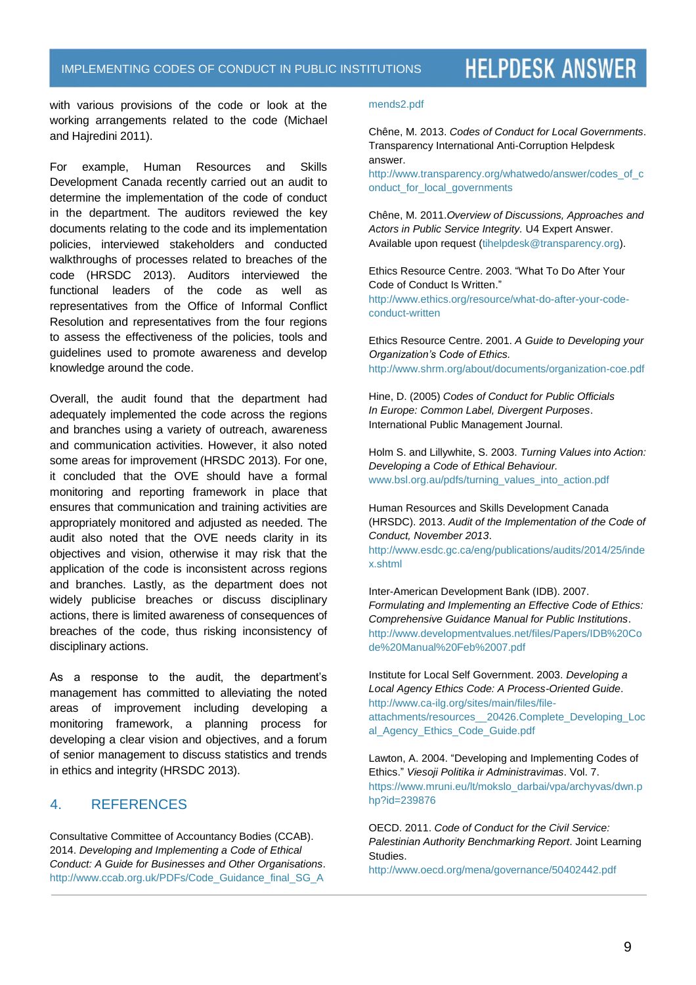with various provisions of the code or look at the working arrangements related to the code (Michael and Hajredini 2011).

For example, Human Resources and Skills Development Canada recently carried out an audit to determine the implementation of the code of conduct in the department. The auditors reviewed the key documents relating to the code and its implementation policies, interviewed stakeholders and conducted walkthroughs of processes related to breaches of the code (HRSDC 2013). Auditors interviewed the functional leaders of the code as well as representatives from the Office of Informal Conflict Resolution and representatives from the four regions to assess the effectiveness of the policies, tools and guidelines used to promote awareness and develop knowledge around the code.

Overall, the audit found that the department had adequately implemented the code across the regions and branches using a variety of outreach, awareness and communication activities. However, it also noted some areas for improvement (HRSDC 2013). For one, it concluded that the OVE should have a formal monitoring and reporting framework in place that ensures that communication and training activities are appropriately monitored and adjusted as needed. The audit also noted that the OVE needs clarity in its objectives and vision, otherwise it may risk that the application of the code is inconsistent across regions and branches. Lastly, as the department does not widely publicise breaches or discuss disciplinary actions, there is limited awareness of consequences of breaches of the code, thus risking inconsistency of disciplinary actions.

As a response to the audit, the department's management has committed to alleviating the noted areas of improvement including developing a monitoring framework, a planning process for developing a clear vision and objectives, and a forum of senior management to discuss statistics and trends in ethics and integrity (HRSDC 2013).

#### 4. REFERENCES

Consultative Committee of Accountancy Bodies (CCAB). 2014. *Developing and Implementing a Code of Ethical Conduct: A Guide for Businesses and Other Organisations*. [http://www.ccab.org.uk/PDFs/Code\\_Guidance\\_final\\_SG\\_A](http://www.ccab.org.uk/PDFs/Code_Guidance_final_SG_Amends2.pdf)

#### [mends2.pdf](http://www.ccab.org.uk/PDFs/Code_Guidance_final_SG_Amends2.pdf)

Chêne, M. 2013. *Codes of Conduct for Local Governments*. Transparency International Anti-Corruption Helpdesk answer.

[http://www.transparency.org/whatwedo/answer/codes\\_of\\_c](http://www.transparency.org/whatwedo/answer/codes_of_conduct_for_local_governments) [onduct\\_for\\_local\\_governments](http://www.transparency.org/whatwedo/answer/codes_of_conduct_for_local_governments)

Chêne, M. 2011.*Overview of Discussions, Approaches and Actors in Public Service Integrity.* U4 Expert Answer. Available upon request [\(tihelpdesk@transparency.org\)](mailto:tihelpdesk@transparency.org).

Ethics Resource Centre. 2003. "What To Do After Your Code of Conduct Is Written." [http://www.ethics.org/resource/what-do-after-your-code](http://www.ethics.org/resource/what-do-after-your-code-conduct-written)[conduct-written](http://www.ethics.org/resource/what-do-after-your-code-conduct-written)

Ethics Resource Centre. 2001. *A Guide to Developing your Organization's Code of Ethics.* <http://www.shrm.org/about/documents/organization-coe.pdf>

Hine, D. (2005) *Codes of Conduct for Public Officials In Europe: Common Label, Divergent Purposes*. International Public Management Journal.

Holm S. and Lillywhite, S. 2003. *Turning Values into Action: Developing a Code of Ethical Behaviour.*  www.bsl.org.au/pdfs/turning\_values\_into\_action.pdf

Human Resources and Skills Development Canada (HRSDC). 2013. *Audit of the Implementation of the Code of Conduct, November 2013*. [http://www.esdc.gc.ca/eng/publications/audits/2014/25/inde](http://www.esdc.gc.ca/eng/publications/audits/2014/25/index.shtml) [x.shtml](http://www.esdc.gc.ca/eng/publications/audits/2014/25/index.shtml)

Inter-American Development Bank (IDB). 2007. *Formulating and Implementing an Effective Code of Ethics: Comprehensive Guidance Manual for Public Institutions*. [http://www.developmentvalues.net/files/Papers/IDB%20Co](http://www.developmentvalues.net/files/Papers/IDB%20Code%20Manual%20Feb%2007.pdf) [de%20Manual%20Feb%2007.pdf](http://www.developmentvalues.net/files/Papers/IDB%20Code%20Manual%20Feb%2007.pdf)

Institute for Local Self Government. 2003. *Developing a Local Agency Ethics Code: A Process-Oriented Guide*. [http://www.ca-ilg.org/sites/main/files/file](http://www.ca-ilg.org/sites/main/files/file-attachments/resources__20426.Complete_Developing_Local_Agency_Ethics_Code_Guide.pdf)[attachments/resources\\_\\_20426.Complete\\_Developing\\_Loc](http://www.ca-ilg.org/sites/main/files/file-attachments/resources__20426.Complete_Developing_Local_Agency_Ethics_Code_Guide.pdf) [al\\_Agency\\_Ethics\\_Code\\_Guide.pdf](http://www.ca-ilg.org/sites/main/files/file-attachments/resources__20426.Complete_Developing_Local_Agency_Ethics_Code_Guide.pdf)

Lawton, A. 2004. "Developing and Implementing Codes of Ethics." *Viesoji Politika ir Administravimas*. Vol. 7. [https://www.mruni.eu/lt/mokslo\\_darbai/vpa/archyvas/dwn.p](https://www.mruni.eu/lt/mokslo_darbai/vpa/archyvas/dwn.php?id=239876) [hp?id=239876](https://www.mruni.eu/lt/mokslo_darbai/vpa/archyvas/dwn.php?id=239876)

OECD. 2011. *Code of Conduct for the Civil Service: Palestinian Authority Benchmarking Report*. Joint Learning Studies.

<http://www.oecd.org/mena/governance/50402442.pdf>